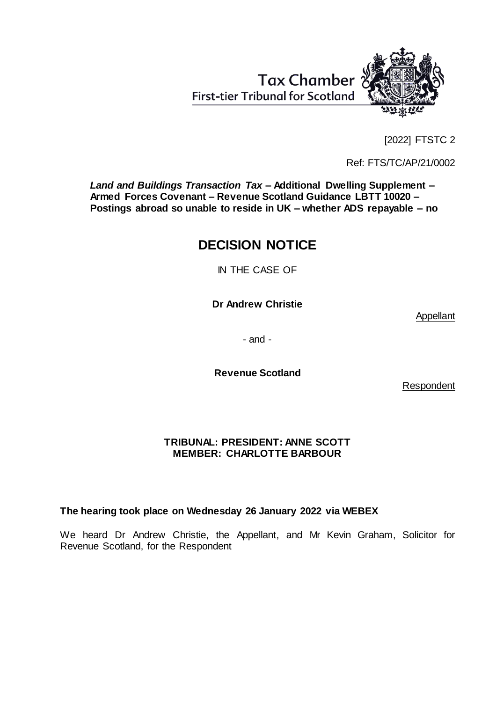Tax Chamber **First-tier Tribunal for Scotland** 



[2022] FTSTC 2

Ref: FTS/TC/AP/21/0002

*Land and Buildings Transaction Tax –* **Additional Dwelling Supplement** *–* **Armed Forces Covenant** *–* **Revenue Scotland Guidance LBTT 10020** *–* **Postings abroad so unable to reside in UK** *–* **whether ADS repayable** *–* **no**

# **DECISION NOTICE**

IN THE CASE OF

**Dr Andrew Christie**

Appellant

- and -

**Revenue Scotland**

Respondent

### **TRIBUNAL: PRESIDENT: ANNE SCOTT MEMBER: CHARLOTTE BARBOUR**

## **The hearing took place on Wednesday 26 January 2022 via WEBEX**

We heard Dr Andrew Christie, the Appellant, and Mr Kevin Graham, Solicitor for Revenue Scotland, for the Respondent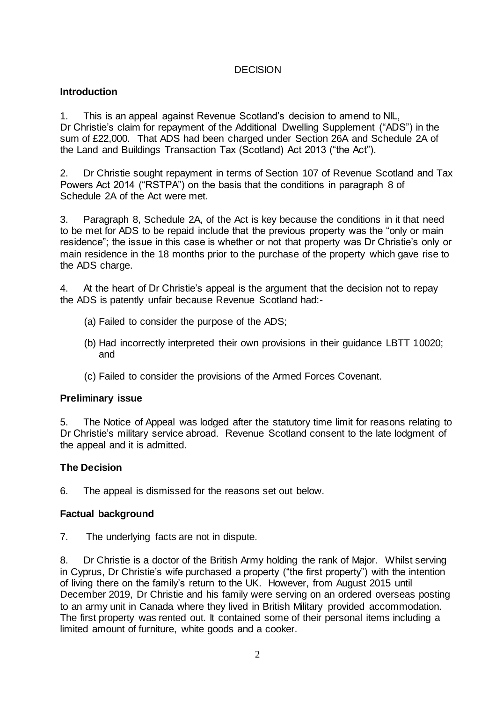## **DECISION**

## **Introduction**

1. This is an appeal against Revenue Scotland's decision to amend to NIL, Dr Christie's claim for repayment of the Additional Dwelling Supplement ("ADS") in the sum of £22,000. That ADS had been charged under Section 26A and Schedule 2A of the Land and Buildings Transaction Tax (Scotland) Act 2013 ("the Act").

2. Dr Christie sought repayment in terms of Section 107 of Revenue Scotland and Tax Powers Act 2014 ("RSTPA") on the basis that the conditions in paragraph 8 of Schedule 2A of the Act were met.

3. Paragraph 8, Schedule 2A, of the Act is key because the conditions in it that need to be met for ADS to be repaid include that the previous property was the "only or main residence"; the issue in this case is whether or not that property was Dr Christie's only or main residence in the 18 months prior to the purchase of the property which gave rise to the ADS charge.

4. At the heart of Dr Christie's appeal is the argument that the decision not to repay the ADS is patently unfair because Revenue Scotland had:-

- (a) Failed to consider the purpose of the ADS;
- (b) Had incorrectly interpreted their own provisions in their guidance LBTT 10020; and
- (c) Failed to consider the provisions of the Armed Forces Covenant.

## **Preliminary issue**

5. The Notice of Appeal was lodged after the statutory time limit for reasons relating to Dr Christie's military service abroad. Revenue Scotland consent to the late lodgment of the appeal and it is admitted.

## **The Decision**

6. The appeal is dismissed for the reasons set out below.

### **Factual background**

7. The underlying facts are not in dispute.

8. Dr Christie is a doctor of the British Army holding the rank of Major. Whilst serving in Cyprus, Dr Christie's wife purchased a property ("the first property") with the intention of living there on the family's return to the UK. However, from August 2015 until December 2019, Dr Christie and his family were serving on an ordered overseas posting to an army unit in Canada where they lived in British Military provided accommodation. The first property was rented out. It contained some of their personal items including a limited amount of furniture, white goods and a cooker.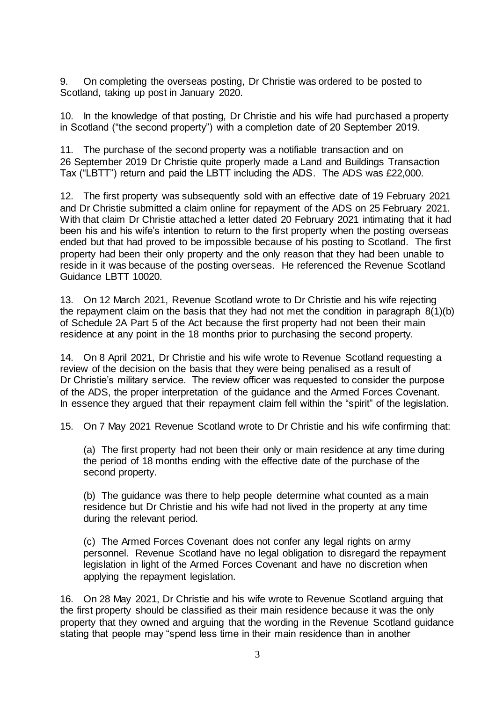9. On completing the overseas posting, Dr Christie was ordered to be posted to Scotland, taking up post in January 2020.

10. In the knowledge of that posting, Dr Christie and his wife had purchased a property in Scotland ("the second property") with a completion date of 20 September 2019.

11. The purchase of the second property was a notifiable transaction and on 26 September 2019 Dr Christie quite properly made a Land and Buildings Transaction Tax ("LBTT") return and paid the LBTT including the ADS. The ADS was £22,000.

12. The first property was subsequently sold with an effective date of 19 February 2021 and Dr Christie submitted a claim online for repayment of the ADS on 25 February 2021. With that claim Dr Christie attached a letter dated 20 February 2021 intimating that it had been his and his wife's intention to return to the first property when the posting overseas ended but that had proved to be impossible because of his posting to Scotland. The first property had been their only property and the only reason that they had been unable to reside in it was because of the posting overseas. He referenced the Revenue Scotland Guidance LBTT 10020.

13. On 12 March 2021, Revenue Scotland wrote to Dr Christie and his wife rejecting the repayment claim on the basis that they had not met the condition in paragraph 8(1)(b) of Schedule 2A Part 5 of the Act because the first property had not been their main residence at any point in the 18 months prior to purchasing the second property.

14. On 8 April 2021, Dr Christie and his wife wrote to Revenue Scotland requesting a review of the decision on the basis that they were being penalised as a result of Dr Christie's military service. The review officer was requested to consider the purpose of the ADS, the proper interpretation of the guidance and the Armed Forces Covenant. In essence they argued that their repayment claim fell within the "spirit" of the legislation.

15. On 7 May 2021 Revenue Scotland wrote to Dr Christie and his wife confirming that:

(a) The first property had not been their only or main residence at any time during the period of 18 months ending with the effective date of the purchase of the second property.

(b) The guidance was there to help people determine what counted as a main residence but Dr Christie and his wife had not lived in the property at any time during the relevant period.

(c) The Armed Forces Covenant does not confer any legal rights on army personnel. Revenue Scotland have no legal obligation to disregard the repayment legislation in light of the Armed Forces Covenant and have no discretion when applying the repayment legislation.

16. On 28 May 2021, Dr Christie and his wife wrote to Revenue Scotland arguing that the first property should be classified as their main residence because it was the only property that they owned and arguing that the wording in the Revenue Scotland guidance stating that people may "spend less time in their main residence than in another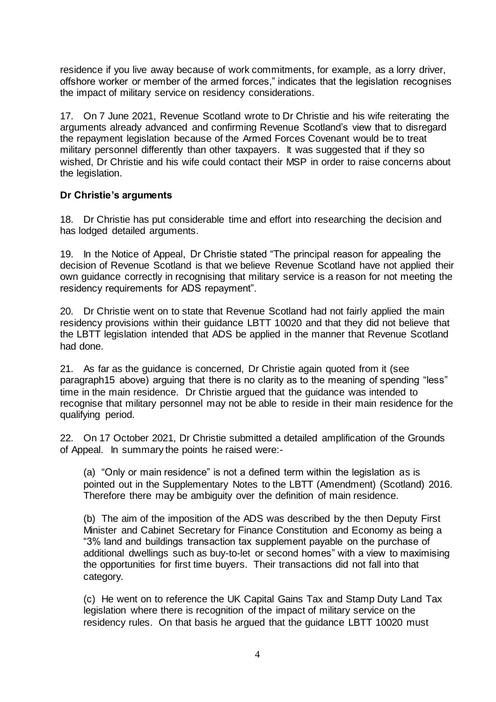residence if you live away because of work commitments, for example, as a lorry driver, offshore worker or member of the armed forces," indicates that the legislation recognises the impact of military service on residency considerations.

17. On 7 June 2021, Revenue Scotland wrote to Dr Christie and his wife reiterating the arguments already advanced and confirming Revenue Scotland's view that to disregard the repayment legislation because of the Armed Forces Covenant would be to treat military personnel differently than other taxpayers. It was suggested that if they so wished, Dr Christie and his wife could contact their MSP in order to raise concerns about the legislation.

### **Dr Christie's arguments**

18. Dr Christie has put considerable time and effort into researching the decision and has lodged detailed arguments.

19. In the Notice of Appeal, Dr Christie stated "The principal reason for appealing the decision of Revenue Scotland is that we believe Revenue Scotland have not applied their own guidance correctly in recognising that military service is a reason for not meeting the residency requirements for ADS repayment".

20. Dr Christie went on to state that Revenue Scotland had not fairly applied the main residency provisions within their guidance LBTT 10020 and that they did not believe that the LBTT legislation intended that ADS be applied in the manner that Revenue Scotland had done.

21. As far as the guidance is concerned, Dr Christie again quoted from it (see paragraph15 above) arguing that there is no clarity as to the meaning of spending "less" time in the main residence. Dr Christie argued that the guidance was intended to recognise that military personnel may not be able to reside in their main residence for the qualifying period.

22. On 17 October 2021, Dr Christie submitted a detailed amplification of the Grounds of Appeal. In summary the points he raised were:-

(a) "Only or main residence" is not a defined term within the legislation as is pointed out in the Supplementary Notes to the LBTT (Amendment) (Scotland) 2016. Therefore there may be ambiguity over the definition of main residence.

(b) The aim of the imposition of the ADS was described by the then Deputy First Minister and Cabinet Secretary for Finance Constitution and Economy as being a "3% land and buildings transaction tax supplement payable on the purchase of additional dwellings such as buy-to-let or second homes" with a view to maximising the opportunities for first time buyers. Their transactions did not fall into that category.

(c) He went on to reference the UK Capital Gains Tax and Stamp Duty Land Tax legislation where there is recognition of the impact of military service on the residency rules. On that basis he argued that the guidance LBTT 10020 must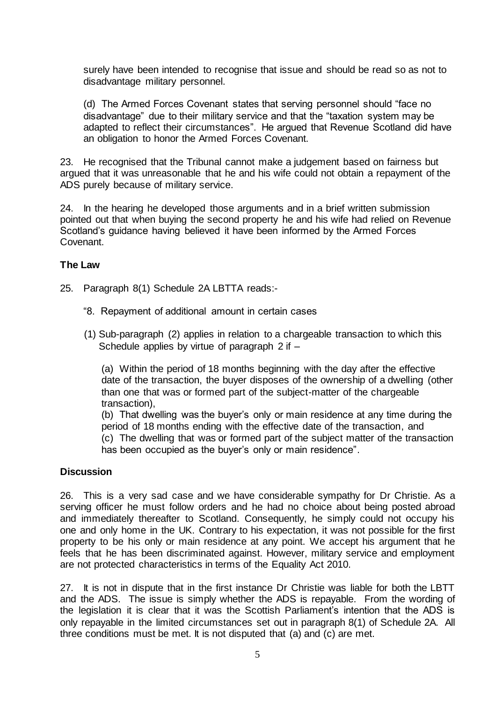surely have been intended to recognise that issue and should be read so as not to disadvantage military personnel.

(d) The Armed Forces Covenant states that serving personnel should "face no disadvantage" due to their military service and that the "taxation system may be adapted to reflect their circumstances". He argued that Revenue Scotland did have an obligation to honor the Armed Forces Covenant.

23. He recognised that the Tribunal cannot make a judgement based on fairness but argued that it was unreasonable that he and his wife could not obtain a repayment of the ADS purely because of military service.

24. In the hearing he developed those arguments and in a brief written submission pointed out that when buying the second property he and his wife had relied on Revenue Scotland's guidance having believed it have been informed by the Armed Forces Covenant.

### **The Law**

- 25. Paragraph 8(1) Schedule 2A LBTTA reads:-
	- "8. Repayment of additional amount in certain cases
	- (1) Sub-paragraph (2) applies in relation to a chargeable transaction to which this Schedule applies by virtue of paragraph 2 if –

(a) Within the period of 18 months beginning with the day after the effective date of the transaction, the buyer disposes of the ownership of a dwelling (other than one that was or formed part of the subject-matter of the chargeable transaction),

(b) That dwelling was the buyer's only or main residence at any time during the period of 18 months ending with the effective date of the transaction, and (c) The dwelling that was or formed part of the subject matter of the transaction has been occupied as the buyer's only or main residence".

### **Discussion**

26. This is a very sad case and we have considerable sympathy for Dr Christie. As a serving officer he must follow orders and he had no choice about being posted abroad and immediately thereafter to Scotland. Consequently, he simply could not occupy his one and only home in the UK. Contrary to his expectation, it was not possible for the first property to be his only or main residence at any point. We accept his argument that he feels that he has been discriminated against. However, military service and employment are not protected characteristics in terms of the Equality Act 2010.

27. It is not in dispute that in the first instance Dr Christie was liable for both the LBTT and the ADS. The issue is simply whether the ADS is repayable. From the wording of the legislation it is clear that it was the Scottish Parliament's intention that the ADS is only repayable in the limited circumstances set out in paragraph 8(1) of Schedule 2A. All three conditions must be met. It is not disputed that (a) and (c) are met.